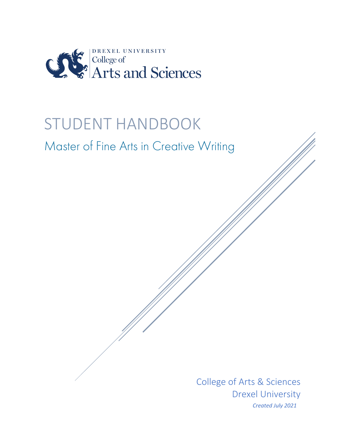

# STUDENT HANDBOOK Master of Fine Arts in Creative Writing

College of Arts & Sciences Drexel University *Created July 2021*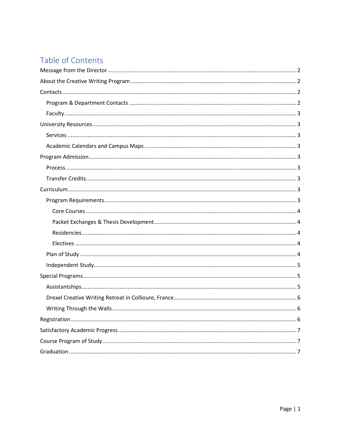# Table of Contents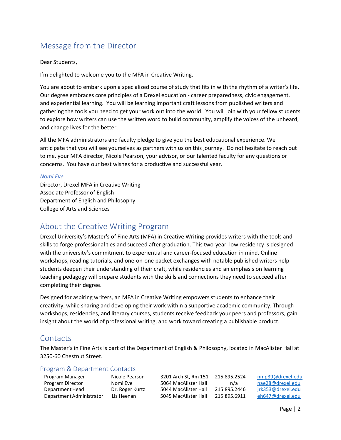## <span id="page-2-0"></span>Message from the Director

#### Dear Students,

I'm delighted to welcome you to the MFA in Creative Writing.

You are about to embark upon a specialized course of study that fits in with the rhythm of a writer's life. Our degree embraces core principles of a Drexel education - career preparedness, civic engagement, and experiential learning. You will be learning important craft lessons from published writers and gathering the tools you need to get your work out into the world. You will join with your fellow students to explore how writers can use the written word to build community, amplify the voices of the unheard, and change lives for the better.

All the MFA administrators and faculty pledge to give you the best educational experience. We anticipate that you will see yourselves as partners with us on this journey. Do not hesitate to reach out to me, your MFA director, Nicole Pearson, your advisor, or our talented faculty for any questions or concerns. You have our best wishes for a productive and successful year.

#### *Nomi Eve*

Director, Drexel MFA in Creative Writing Associate Professor of English Department of English and Philosophy College of Arts and Sciences

## <span id="page-2-1"></span>About the Creative Writing Program

Drexel University's Master's of Fine Arts (MFA) in Creative Writing provides writers with the tools and skills to forge professional ties and succeed after graduation. This two-year, low-residency is designed with the university's commitment to experiential and career-focused education in mind. Online workshops, reading tutorials, and one-on-one packet exchanges with notable published writers help students deepen their understanding of their craft, while residencies and an emphasis on learning teaching pedagogy will prepare students with the skills and connections they need to succeed after completing their degree.

Designed for aspiring writers, an MFA in Creative Writing empowers students to enhance their creativity, while sharing and developing their work within a supportive academic community. Through workshops, residencies, and literary courses, students receive feedback your peers and professors, gain insight about the world of professional writing, and work toward creating a publishable product.

## <span id="page-2-2"></span>**Contacts**

The Master's in Fine Arts is part of the Department of English & Philosophy, located in MacAlister Hall at 3250-60 Chestnut Street.

#### <span id="page-2-3"></span>Program & Department Contacts

| Program Manager          | Nicole Pearson  | 3201 Arch St, Rm 151 | 215.895.2524 | nmp39@drexel.edu  |
|--------------------------|-----------------|----------------------|--------------|-------------------|
| Program Director         | Nomi Eve        | 5064 MacAlister Hall | n/a          | nae28@drexel.edu  |
| Department Head          | Dr. Roger Kurtz | 5044 MacAlister Hall | 215.895.2446 | irk353@drexel.edu |
| Department Administrator | Liz Heenan      | 5045 MacAlister Hall | 215.895.6911 | eh647@drexel.edu  |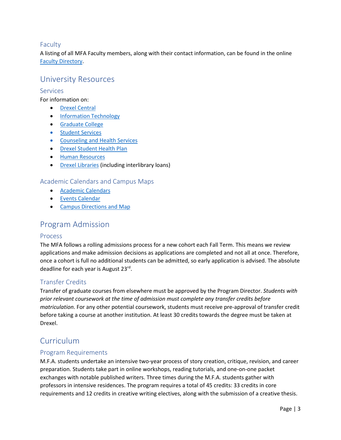#### <span id="page-3-0"></span>Faculty

A listing of all MFA Faculty members, along with their contact information, can be found in the online [Faculty Directory.](https://www.online.drexel.edu/online-degrees/arts-and-science-degrees/mfa-creative-writing/index.aspx?_gl=1*ibp42l*_ga*MTgxODc2NTU1LjE2MTk2MjEwODc.*_ga_6KJ1PNLE19*MTYyMzY3OTc0NS4xNTUuMS4xNjIzNjg1MjMxLjUz#faculty)

## <span id="page-3-1"></span>University Resources

#### <span id="page-3-2"></span>Services

For information on:

- [Drexel Central](http://www.drexel.edu/drexelcentral/)
- [Information Technology](http://drexel.edu/it/)
- [Graduate College](https://drexel.edu/graduatecollege/)
- [Student Services](http://www.drexel.edu/guide/students/)
- [Counseling and Health Services](https://drexel.edu/studentlife/support_health_services/overview/)
- [Drexel Student Health Plan](https://drexel.edu/counselingandhealth/insurance-immunizations/health-insurance/)
- [Human Resources](https://drexel.edu/hr/)
- [Drexel Libraries](https://www.library.drexel.edu/) (including interlibrary loans)

#### <span id="page-3-3"></span>Academic Calendars and Campus Maps

- [Academic Calendars](http://drexel.edu/provost/calendars/academic-calendars/)
- [Events Calendar](http://www.drexel.edu/calendars)
- [Campus Directions and Map](http://drexel.edu/about/directions/)

## <span id="page-3-4"></span>Program Admission

#### <span id="page-3-5"></span>Process

The MFA follows a rolling admissions process for a new cohort each Fall Term. This means we review applications and make admission decisions as applications are completed and not all at once. Therefore, once a cohort is full no additional students can be admitted, so early application is advised. The absolute deadline for each year is August 23rd.

#### <span id="page-3-6"></span>Transfer Credits

Transfer of graduate courses from elsewhere must be approved by the Program Director. *Students with prior relevant coursework at the time of admission must complete any transfer credits before matriculation*. For any other potential coursework, students must receive pre-approval of transfer credit before taking a course at another institution. At least 30 credits towards the degree must be taken at Drexel.

## <span id="page-3-7"></span>Curriculum

#### <span id="page-3-8"></span>Program Requirements

M.F.A. students undertake an intensive two-year process of story creation, critique, revision, and career preparation. Students take part in online workshops, reading tutorials, and one-on-one packet exchanges with notable published writers. Three times during the M.F.A. students gather with professors in intensive residences. The program requires a total of 45 credits: 33 credits in core requirements and 12 credits in creative writing electives, along with the submission of a creative thesis.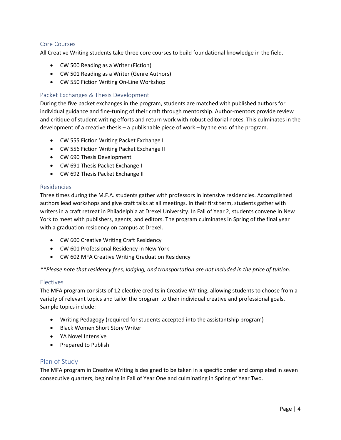#### <span id="page-4-0"></span>Core Courses

All Creative Writing students take three core courses to build foundational knowledge in the field.

- CW 500 Reading as a Writer (Fiction)
- CW 501 Reading as a Writer (Genre Authors)
- CW 550 Fiction Writing On-Line Workshop

#### <span id="page-4-1"></span>Packet Exchanges & Thesis Development

During the five packet exchanges in the program, students are matched with published authors for individual guidance and fine-tuning of their craft through mentorship. Author-mentors provide review and critique of student writing efforts and return work with robust editorial notes. This culminates in the development of a creative thesis – a publishable piece of work – by the end of the program.

- CW 555 Fiction Writing Packet Exchange I
- CW 556 Fiction Writing Packet Exchange II
- CW 690 Thesis Development
- CW 691 Thesis Packet Exchange I
- CW 692 Thesis Packet Exchange II

#### <span id="page-4-2"></span>Residencies

Three times during the M.F.A. students gather with professors in intensive residencies. Accomplished authors lead workshops and give craft talks at all meetings. In their first term, students gather with writers in a craft retreat in Philadelphia at Drexel University. In Fall of Year 2, students convene in New York to meet with publishers, agents, and editors. The program culminates in Spring of the final year with a graduation residency on campus at Drexel.

- CW 600 Creative Writing Craft Residency
- CW 601 Professional Residency in New York
- CW 602 MFA Creative Writing Graduation Residency

*\*\*Please note that residency fees, lodging, and transportation are not included in the price of tuition.* 

#### <span id="page-4-3"></span>Electives

The MFA program consists of 12 elective credits in Creative Writing, allowing students to choose from a variety of relevant topics and tailor the program to their individual creative and professional goals. Sample topics include:

- Writing Pedagogy (required for students accepted into the assistantship program)
- Black Women Short Story Writer
- YA Novel Intensive
- Prepared to Publish

#### <span id="page-4-4"></span>Plan of Study

The MFA program in Creative Writing is designed to be taken in a specific order and completed in seven consecutive quarters, beginning in Fall of Year One and culminating in Spring of Year Two.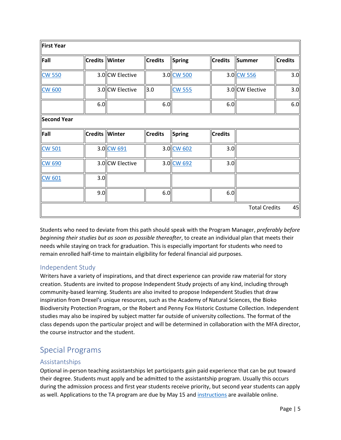| First Year                 |                |                 |                |               |                |                 |                |  |  |
|----------------------------|----------------|-----------------|----------------|---------------|----------------|-----------------|----------------|--|--|
| Fall                       | Credits Winter |                 | <b>Credits</b> | Spring        | <b>Credits</b> | <b>Summer</b>   | <b>Credits</b> |  |  |
| <b>CW 550</b>              |                | 3.0 CW Elective |                | 3.0 CW 500    |                | 3.0 CW 556      | 3.0            |  |  |
| <b>CW 600</b>              |                | 3.0 CW Elective | 3.0            | <b>CW 555</b> |                | 3.0 CW Elective | 3.0            |  |  |
|                            | 6.0            |                 | 6.0            |               | 6.0            |                 | 6.0            |  |  |
| Second Year                |                |                 |                |               |                |                 |                |  |  |
| Fall                       | Credits Winter |                 | <b>Credits</b> | <b>Spring</b> | <b>Credits</b> |                 |                |  |  |
| <b>CW 501</b>              |                | 3.0 CW 691      |                | 3.0 CW 602    | 3.0            |                 |                |  |  |
| <b>CW 690</b>              |                | 3.0 CW Elective |                | 3.0 CW 692    | 3.0            |                 |                |  |  |
| <b>CW 601</b>              | 3.0            |                 |                |               |                |                 |                |  |  |
|                            | 9.0            |                 | 6.0            |               | 6.0            |                 |                |  |  |
| <b>Total Credits</b><br>45 |                |                 |                |               |                |                 |                |  |  |

Students who need to deviate from this path should speak with the Program Manager, *preferably before beginning their studies but as soon as possible thereafter*, to create an individual plan that meets their needs while staying on track for graduation. This is especially important for students who need to remain enrolled half-time to maintain eligibility for federal financial aid purposes.

#### <span id="page-5-0"></span>Independent Study

Writers have a variety of inspirations, and that direct experience can provide raw material for story creation. Students are invited to propose Independent Study projects of any kind, including through community-based learning. Students are also invited to propose Independent Studies that draw inspiration from Drexel's unique resources, such as the Academy of Natural Sciences, the Bioko Biodiversity Protection Program, or the Robert and Penny Fox Historic Costume Collection. Independent studies may also be inspired by subject matter far outside of university collections. The format of the class depends upon the particular project and will be determined in collaboration with the MFA director, the course instructor and the student.

## <span id="page-5-1"></span>Special Programs

#### <span id="page-5-2"></span>Assistantships

Optional in-person teaching assistantships let participants gain paid experience that can be put toward their degree. Students must apply and be admitted to the assistantship program. Usually this occurs during the admission process and first year students receive priority, but second year students can apply as well. Applications to the TA program are due by May 15 an[d instructions](https://www.online.drexel.edu/online-degrees/arts-and-science-degrees/mfa-creative-writing/index.aspx#admissionscriteria) are available online.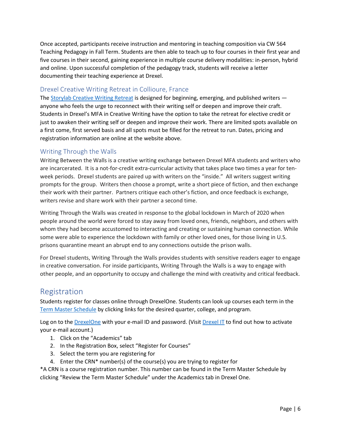Once accepted, participants receive instruction and mentoring in teaching composition via CW 564 Teaching Pedagogy in Fall Term. Students are then able to teach up to four courses in their first year and five courses in their second, gaining experience in multiple course delivery modalities: in-person, hybrid and online. Upon successful completion of the pedagogy track, students will receive a letter documenting their teaching experience at Drexel.

#### <span id="page-6-0"></span>Drexel Creative Writing Retreat in Collioure, France

The [Storylab Creative Writing Retreat](https://drexel.edu/coas/academics/Storylab/) is designed for beginning, emerging, and published writers anyone who feels the urge to reconnect with their writing self or deepen and improve their craft. Students in Drexel's MFA in Creative Writing have the option to take the retreat for elective credit or just to awaken their writing self or deepen and improve their work. There are limited spots available on a first come, first served basis and all spots must be filled for the retreat to run. Dates, pricing and registration information are online at the website above.

#### <span id="page-6-1"></span>Writing Through the Walls

Writing Between the Walls is a creative writing exchange between Drexel MFA students and writers who are incarcerated. It is a not-for-credit extra-curricular activity that takes place two times a year for tenweek periods. Drexel students are paired up with writers on the "inside." All writers suggest writing prompts for the group. Writers then choose a prompt, write a short piece of fiction, and then exchange their work with their partner. Partners critique each other's fiction, and once feedback is exchange, writers revise and share work with their partner a second time.

Writing Through the Walls was created in response to the global lockdown in March of 2020 when people around the world were forced to stay away from loved ones, friends, neighbors, and others with whom they had become accustomed to interacting and creating or sustaining human connection. While some were able to experience the lockdown with family or other loved ones, for those living in U.S. prisons quarantine meant an abrupt end to any connections outside the prison walls.

For Drexel students, Writing Through the Walls provides students with sensitive readers eager to engage in creative conversation. For inside participants, Writing Through the Walls is a way to engage with other people, and an opportunity to occupy and challenge the mind with creativity and critical feedback.

## <span id="page-6-2"></span>Registration

Students register for classes online through DrexelOne. Students can look up courses each term in the [Term Master Schedule](http://termmasterschedule.drexel.edu/webtms_du/app?page=Home&service=page) by clicking links for the desired quarter, college, and program.

Log on to th[e DrexelOne](http://one.drexel.edu/) with your e-mail ID and password. (Visi[t Drexel IT](http://www.drexel.edu/it) to find out how to activate your e-mail account.)

- 1. Click on the "Academics" tab
- 2. In the Registration Box, select "Register for Courses"
- 3. Select the term you are registering for
- 4. Enter the CRN\* number(s) of the course(s) you are trying to register for

\*A CRN is a course registration number. This number can be found in the Term Master Schedule by clicking "Review the Term Master Schedule" under the Academics tab in Drexel One.